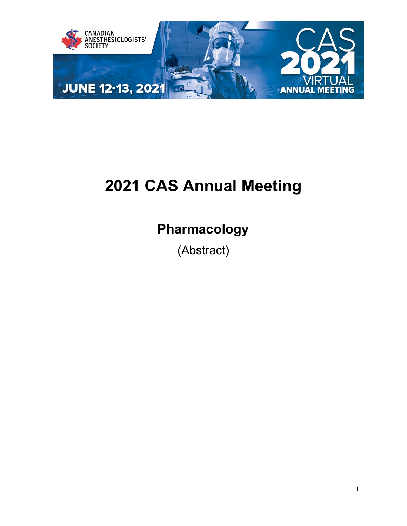

# **2021 CAS Annual Meeting**

## **Pharmacology**

(Abstract)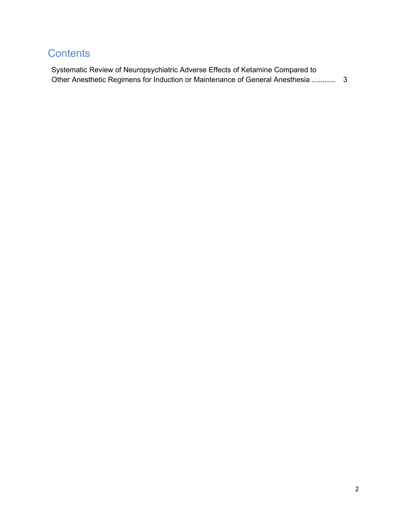## **Contents**

| Systematic Review of Neuropsychiatric Adverse Effects of Ketamine Compared to |  |
|-------------------------------------------------------------------------------|--|
|                                                                               |  |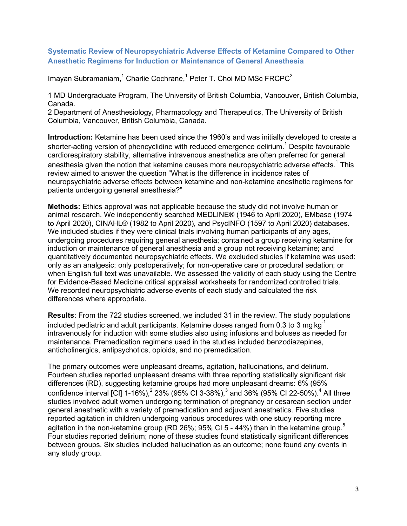#### <span id="page-2-0"></span>**Systematic Review of Neuropsychiatric Adverse Effects of Ketamine Compared to Other Anesthetic Regimens for Induction or Maintenance of General Anesthesia**

Imayan Subramaniam, $1$  Charlie Cochrane, $1$  Peter T. Choi MD MSc FRCPC $2$ 

1 MD Undergraduate Program, The University of British Columbia, Vancouver, British Columbia, Canada.

2 Department of Anesthesiology, Pharmacology and Therapeutics, The University of British Columbia, Vancouver, British Columbia, Canada.

**Introduction:** Ketamine has been used since the 1960's and was initially developed to create a shorter-acting version of phencyclidine with reduced emergence delirium.<sup>1</sup> Despite favourable cardiorespiratory stability, alternative intravenous anesthetics are often preferred for general anesthesia given the notion that ketamine causes more neuropsychiatric adverse effects.<sup>1</sup> This review aimed to answer the question "What is the difference in incidence rates of neuropsychiatric adverse effects between ketamine and non-ketamine anesthetic regimens for patients undergoing general anesthesia?"

**Methods:** Ethics approval was not applicable because the study did not involve human or animal research. We independently searched MEDLINE® (1946 to April 2020), EMbase (1974 to April 2020), CINAHL® (1982 to April 2020), and PsycINFO (1597 to April 2020) databases. We included studies if they were clinical trials involving human participants of any ages, undergoing procedures requiring general anesthesia; contained a group receiving ketamine for induction or maintenance of general anesthesia and a group not receiving ketamine; and quantitatively documented neuropsychiatric effects. We excluded studies if ketamine was used: only as an analgesic; only postoperatively; for non-operative care or procedural sedation; or when English full text was unavailable. We assessed the validity of each study using the Centre for Evidence-Based Medicine critical appraisal worksheets for randomized controlled trials. We recorded neuropsychiatric adverse events of each study and calculated the risk differences where appropriate.

**Results**: From the 722 studies screened, we included 31 in the review. The study populations included pediatric and adult participants. Ketamine doses ranged from 0.3 to 3 mg kg $^{\text{-}1}$ intravenously for induction with some studies also using infusions and boluses as needed for maintenance. Premedication regimens used in the studies included benzodiazepines, anticholinergics, antipsychotics, opioids, and no premedication.

The primary outcomes were unpleasant dreams, agitation, hallucinations, and delirium. Fourteen studies reported unpleasant dreams with three reporting statistically significant risk differences (RD), suggesting ketamine groups had more unpleasant dreams: 6% (95% confidence interval [CI] 1-16%),<sup>2</sup> 23% (95% CI 3-38%),<sup>3</sup> and 36% (95% CI 22-50%).<sup>4</sup> All three studies involved adult women undergoing termination of pregnancy or cesarean section under general anesthetic with a variety of premedication and adjuvant anesthetics. Five studies reported agitation in children undergoing various procedures with one study reporting more agitation in the non-ketamine group (RD 26%; 95% CI 5 - 44%) than in the ketamine group.<sup>5</sup> Four studies reported delirium; none of these studies found statistically significant differences between groups. Six studies included hallucination as an outcome; none found any events in any study group.